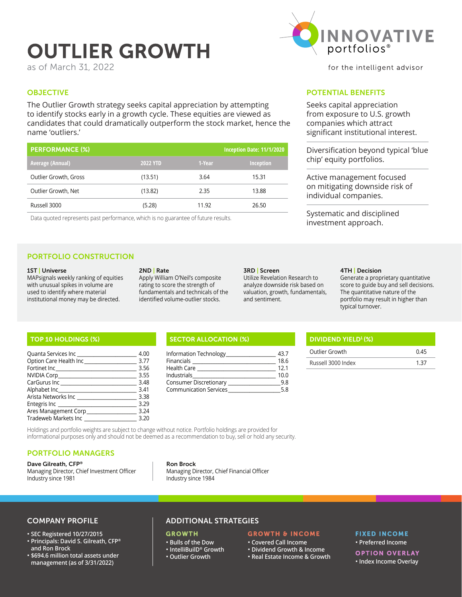# OUTLIER GROWTH

as of March 31, 2022

# **OBJECTIVE**

The Outlier Growth strategy seeks capital appreciation by attempting to identify stocks early in a growth cycle. These equities are viewed as candidates that could dramatically outperform the stock market, hence the name 'outliers.'

| <b>PERFORMANCE (%)</b> | Inception Date: 11/1/2020 |        |                  |
|------------------------|---------------------------|--------|------------------|
| Average (Annual)       | <b>2022 YTD</b>           | 1-Year | <b>Inception</b> |
| Outlier Growth, Gross  | (13.51)                   | 3.64   | 15.31            |
| Outlier Growth, Net    | (13.82)                   | 2.35   | 13.88            |
| Russell 3000           | (5.28)                    | 11.92  | 26.50            |

Data quoted represents past performance, which is no guarantee of future results.

# PORTFOLIO CONSTRUCTION

#### 1ST | Universe

MAPsignals weekly ranking of equities with unusual spikes in volume are used to identify where material institutional money may be directed.

#### 2ND | Rate

Apply William O'Neil's composite rating to score the strength of fundamentals and technicals of the identified volume-outlier stocks.

#### 3RD | Screen

Utilize Revelation Research to analyze downside risk based on valuation, growth, fundamentals, and sentiment.

#### 4TH | Decision

Generate a proprietary quantitative score to guide buy and sell decisions. The quantitative nature of the portfolio may result in higher than typical turnover.

| Quanta Services Inc     |      |
|-------------------------|------|
| Option Care Health Inc_ |      |
| Fortinet Inc            | 3.56 |
| NVIDIA Corp.            | 3.55 |
| CarGurus Inc_______     | 3.48 |
| Alphabet Inc_           | 3.41 |
| Arista Networks Inc     | 3.38 |
| Entegris Inc            | 3.29 |
| Ares Management Corp    | 3.24 |
| Tradeweb Markets Inc    | 3.20 |

# TOP 10 HOLDINGS (%) SECTOR ALLOCATION (%)

| Information Technology        |      |
|-------------------------------|------|
| Financials                    | 18.6 |
| <b>Health Care</b>            | 12.1 |
| Industrials                   | 10.0 |
| <b>Consumer Discretionary</b> | 9 R  |
| <b>Communication Services</b> |      |

| DIVIDEND YIELD <sup>1</sup> (%) |      |
|---------------------------------|------|
| Outlier Growth                  | 0.45 |
| Russell 3000 Index              |      |

Holdings and portfolio weights are subject to change without notice. Portfolio holdings are provided for informational purposes only and should not be deemed as a recommendation to buy, sell or hold any security.

### PORTFOLIO MANAGERS

#### Dave Gilreath, CFP®

Managing Director, Chief Investment Officer Industry since 1981

Ron Brock Managing Director, Chief Financial Officer Industry since 1984

### COMPANY PROFILE

#### **SEC Registered 10/27/2015**

- **Principals: David S. Gilreath, CFP® and Ron Brock**
- **\$694.6 million total assets under management (as of 3/31/2022)**

# ADDITIONAL STRATEGIES

# **GROWTH**

#### **Bulls of the Dow**

- **IntelliBuilD® Growth**
- **Outlier Growth**

## GROWTH & INCOME

- **Covered Call Income Dividend Growth & Income**
- **Real Estate Income & Growth**

# FIXED INCOME

 **Preferred Income**

# OPTION OVERLAY

 **Index Income Overlay**



for the intelligent advisor

# POTENTIAL BENEFITS

Seeks capital appreciation from exposure to U.S. growth companies which attract significant institutional interest.

Diversification beyond typical 'blue chip' equity portfolios.

Active management focused on mitigating downside risk of individual companies.

Systematic and disciplined investment approach.